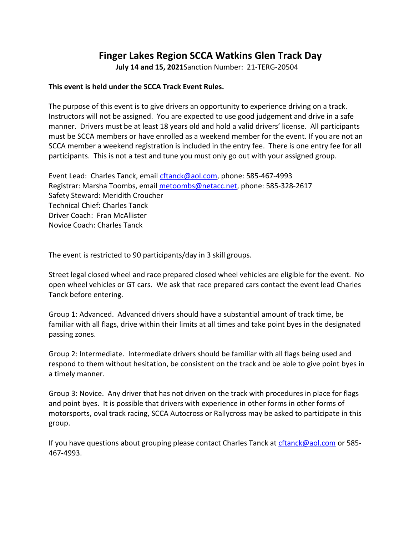## **Finger Lakes Region SCCA Watkins Glen Track Day**

**July 14 and 15, 2021**Sanction Number: 21-TERG-20504

#### **This event is held under the SCCA Track Event Rules.**

The purpose of this event is to give drivers an opportunity to experience driving on a track. Instructors will not be assigned. You are expected to use good judgement and drive in a safe manner. Drivers must be at least 18 years old and hold a valid drivers' license. All participants must be SCCA members or have enrolled as a weekend member for the event. If you are not an SCCA member a weekend registration is included in the entry fee. There is one entry fee for all participants. This is not a test and tune you must only go out with your assigned group.

Event Lead: Charles Tanck, email [cftanck@aol.com,](mailto:cftanck@aol.com) phone: 585-467-4993 Registrar: Marsha Toombs, email [metoombs@netacc.net,](mailto:metoombs@netacc.net) phone: 585-328-2617 Safety Steward: Meridith Croucher Technical Chief: Charles Tanck Driver Coach: Fran McAllister Novice Coach: Charles Tanck

The event is restricted to 90 participants/day in 3 skill groups.

Street legal closed wheel and race prepared closed wheel vehicles are eligible for the event. No open wheel vehicles or GT cars. We ask that race prepared cars contact the event lead Charles Tanck before entering.

Group 1: Advanced. Advanced drivers should have a substantial amount of track time, be familiar with all flags, drive within their limits at all times and take point byes in the designated passing zones.

Group 2: Intermediate. Intermediate drivers should be familiar with all flags being used and respond to them without hesitation, be consistent on the track and be able to give point byes in a timely manner.

Group 3: Novice. Any driver that has not driven on the track with procedures in place for flags and point byes. It is possible that drivers with experience in other forms in other forms of motorsports, oval track racing, SCCA Autocross or Rallycross may be asked to participate in this group.

If you have questions about grouping please contact Charles Tanck at [cftanck@aol.com](mailto:cftanck@aol.com) or 585- 467-4993.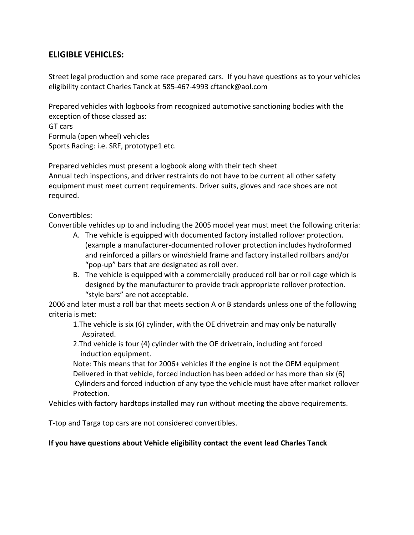## **ELIGIBLE VEHICLES:**

Street legal production and some race prepared cars. If you have questions as to your vehicles eligibility contact Charles Tanck at 585-467-4993 cftanck@aol.com

Prepared vehicles with logbooks from recognized automotive sanctioning bodies with the exception of those classed as:

GT cars Formula (open wheel) vehicles Sports Racing: i.e. SRF, prototype1 etc.

Prepared vehicles must present a logbook along with their tech sheet Annual tech inspections, and driver restraints do not have to be current all other safety equipment must meet current requirements. Driver suits, gloves and race shoes are not required.

Convertibles:

Convertible vehicles up to and including the 2005 model year must meet the following criteria:

- A. The vehicle is equipped with documented factory installed rollover protection. (example a manufacturer-documented rollover protection includes hydroformed and reinforced a pillars or windshield frame and factory installed rollbars and/or "pop-up" bars that are designated as roll over.
- B. The vehicle is equipped with a commercially produced roll bar or roll cage which is designed by the manufacturer to provide track appropriate rollover protection. "style bars" are not acceptable.

2006 and later must a roll bar that meets section A or B standards unless one of the following criteria is met:

1.The vehicle is six (6) cylinder, with the OE drivetrain and may only be naturally Aspirated.

2.Thd vehicle is four (4) cylinder with the OE drivetrain, including ant forced induction equipment.

Note: This means that for 2006+ vehicles if the engine is not the OEM equipment Delivered in that vehicle, forced induction has been added or has more than six (6) Cylinders and forced induction of any type the vehicle must have after market rollover Protection.

Vehicles with factory hardtops installed may run without meeting the above requirements.

T-top and Targa top cars are not considered convertibles.

## **If you have questions about Vehicle eligibility contact the event lead Charles Tanck**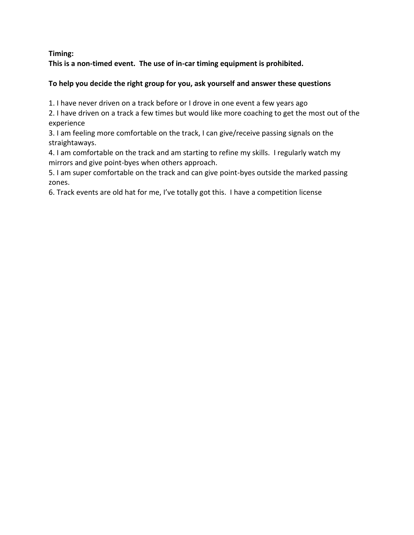**Timing:**

**This is a non-timed event. The use of in-car timing equipment is prohibited.**

## **To help you decide the right group for you, ask yourself and answer these questions**

1. I have never driven on a track before or I drove in one event a few years ago

2. I have driven on a track a few times but would like more coaching to get the most out of the experience

3. I am feeling more comfortable on the track, I can give/receive passing signals on the straightaways.

4. I am comfortable on the track and am starting to refine my skills. I regularly watch my mirrors and give point-byes when others approach.

5. I am super comfortable on the track and can give point-byes outside the marked passing zones.

6. Track events are old hat for me, I've totally got this. I have a competition license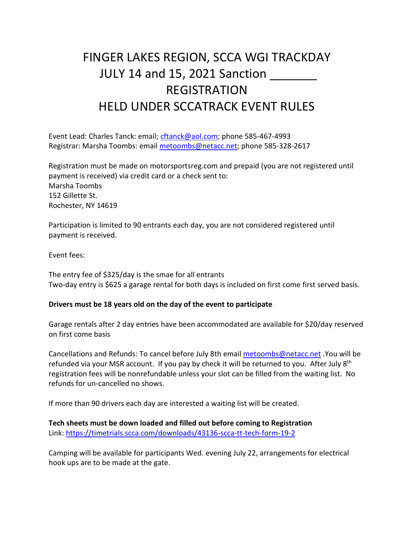# FINGER LAKES REGION, SCCA WGI TRACKDAY JULY 14 and 15, 2021 Sanction \_\_\_\_\_\_\_ REGISTRATION HELD UNDER SCCATRACK EVENT RULES

Event Lead: Charles Tanck: email; [cftanck@aol.com;](mailto:cftanck@aol.com) phone 585-467-4993 Registrar: Marsha Toombs: email [metoombs@netacc.net;](mailto:metoombs@netacc.net) phone 585-328-2617

Registration must be made on motorsportsreg.com and prepaid (you are not registered until payment is received) via credit card or a check sent to: Marsha Toombs 152 Gillette St. Rochester, NY 14619

Participation is limited to 90 entrants each day, you are not considered registered until payment is received.

Event fees:

The entry fee of \$325/day is the smae for all entrants Two-day entry is \$625 a garage rental for both days is included on first come first served basis.

#### **Drivers must be 18 years old on the day of the event to participate**

Garage rentals after 2 day entries have been accommodated are available for \$20/day reserved on first come basis

Cancellations and Refunds: To cancel before July 8th emai[l metoombs@netacc.net](mailto:metoombs@netacc.net) .You will be refunded via your MSR account. If you pay by check it will be returned to you. After July 8<sup>th</sup> registration fees will be nonrefundable unless your slot can be filled from the waiting list. No refunds for un-cancelled no shows.

If more than 90 drivers each day are interested a waiting list will be created.

**Tech sheets must be down loaded and filled out before coming to Registration** Link:<https://timetrials.scca.com/downloads/43136-scca-tt-tech-form-19-2>

Camping will be available for participants Wed. evening July 22, arrangements for electrical hook ups are to be made at the gate.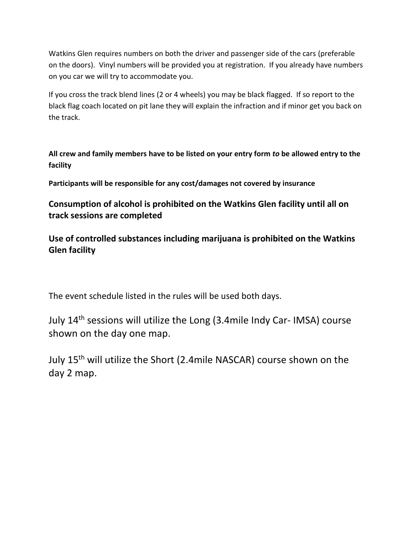Watkins Glen requires numbers on both the driver and passenger side of the cars (preferable on the doors). Vinyl numbers will be provided you at registration. If you already have numbers on you car we will try to accommodate you.

If you cross the track blend lines (2 or 4 wheels) you may be black flagged. If so report to the black flag coach located on pit lane they will explain the infraction and if minor get you back on the track.

**All crew and family members have to be listed on your entry form** *to* **be allowed entry to the facility**

**Participants will be responsible for any cost/damages not covered by insurance**

**Consumption of alcohol is prohibited on the Watkins Glen facility until all on track sessions are completed**

**Use of controlled substances including marijuana is prohibited on the Watkins Glen facility**

The event schedule listed in the rules will be used both days.

July 14th sessions will utilize the Long (3.4mile Indy Car- IMSA) course shown on the day one map.

July 15th will utilize the Short (2.4mile NASCAR) course shown on the day 2 map.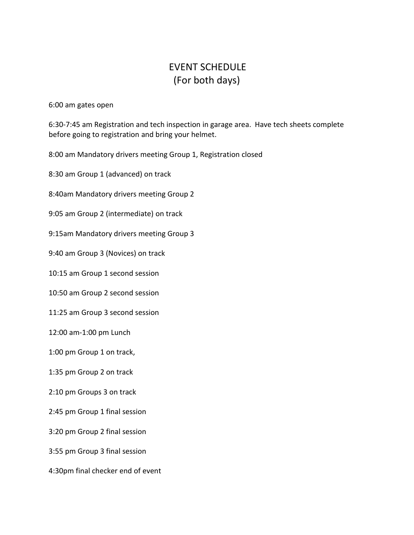## EVENT SCHEDULE (For both days)

6:00 am gates open

6:30-7:45 am Registration and tech inspection in garage area. Have tech sheets complete before going to registration and bring your helmet.

8:00 am Mandatory drivers meeting Group 1, Registration closed

8:30 am Group 1 (advanced) on track

8:40am Mandatory drivers meeting Group 2

9:05 am Group 2 (intermediate) on track

9:15am Mandatory drivers meeting Group 3

9:40 am Group 3 (Novices) on track

10:15 am Group 1 second session

10:50 am Group 2 second session

11:25 am Group 3 second session

12:00 am-1:00 pm Lunch

1:00 pm Group 1 on track,

1:35 pm Group 2 on track

2:10 pm Groups 3 on track

2:45 pm Group 1 final session

3:20 pm Group 2 final session

3:55 pm Group 3 final session

4:30pm final checker end of event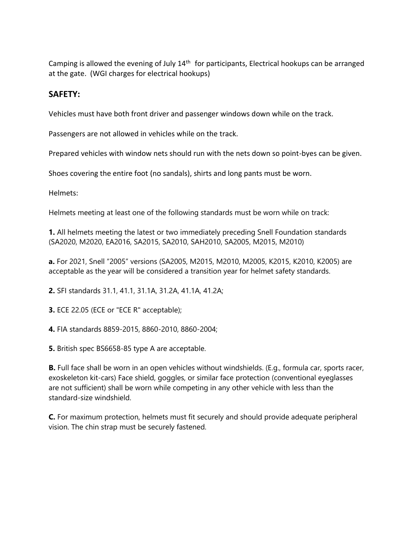Camping is allowed the evening of July  $14<sup>th</sup>$  for participants, Electrical hookups can be arranged at the gate. (WGI charges for electrical hookups)

## **SAFETY:**

Vehicles must have both front driver and passenger windows down while on the track.

Passengers are not allowed in vehicles while on the track.

Prepared vehicles with window nets should run with the nets down so point-byes can be given.

Shoes covering the entire foot (no sandals), shirts and long pants must be worn.

Helmets:

Helmets meeting at least one of the following standards must be worn while on track:

**1.** All helmets meeting the latest or two immediately preceding Snell Foundation standards (SA2020, M2020, EA2016, SA2015, SA2010, SAH2010, SA2005, M2015, M2010)

**a.** For 2021, Snell "2005" versions (SA2005, M2015, M2010, M2005, K2015, K2010, K2005) are acceptable as the year will be considered a transition year for helmet safety standards.

**2.** SFI standards 31.1, 41.1, 31.1A, 31.2A, 41.1A, 41.2A;

**3.** ECE 22.05 (ECE or "ECE R" acceptable);

**4.** FIA standards 8859-2015, 8860-2010, 8860-2004;

**5.** British spec BS6658-85 type A are acceptable.

**B.** Full face shall be worn in an open vehicles without windshields. (E.g., formula car, sports racer, exoskeleton kit-cars) Face shield, goggles, or similar face protection (conventional eyeglasses are not sufficient) shall be worn while competing in any other vehicle with less than the standard-size windshield.

**C.** For maximum protection, helmets must fit securely and should provide adequate peripheral vision. The chin strap must be securely fastened.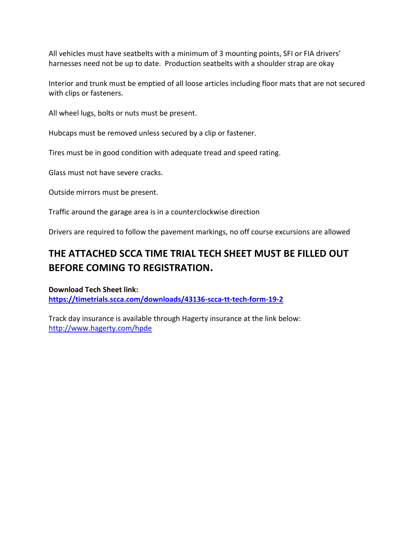All vehicles must have seatbelts with a minimum of 3 mounting points, SFI or FIA drivers' harnesses need not be up to date. Production seatbelts with a shoulder strap are okay

Interior and trunk must be emptied of all loose articles including floor mats that are not secured with clips or fasteners.

All wheel lugs, bolts or nuts must be present.

Hubcaps must be removed unless secured by a clip or fastener.

Tires must be in good condition with adequate tread and speed rating.

Glass must not have severe cracks.

Outside mirrors must be present.

Traffic around the garage area is in a counterclockwise direction

Drivers are required to follow the pavement markings, no off course excursions are allowed

## **THE ATTACHED SCCA TIME TRIAL TECH SHEET MUST BE FILLED OUT BEFORE COMING TO REGISTRATION.**

**Download Tech Sheet link: https://timetrials.scca.com/downloads/43136-scca-tt-tech-form-19-2** 

Track day insurance is available through Hagerty insurance at the link below: <http://www.hagerty.com/hpde>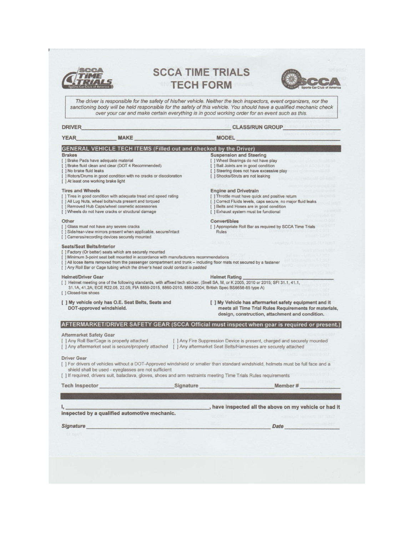

## **SCCA TIME TRIALS TECH FORM**



The driver is responsible for the safety of his/her vehicle. Neither the tech inspectors, event organizers, nor the sanctioning body will be held responsible for the safety of this vehicle. You should have a qualified mech

#### **DRIVER**

#### **CLASS/RUN GROUP**

| <b>YEAR</b>                                                                                                                                                                                                                                                                                                                        | <b>MAKE</b>                                                                                                                                                                                                                                                                                                                                                    |                  | <b>MODEL</b>                                                                                                                                                                                                                         |                                                                                                                                                                     |  |
|------------------------------------------------------------------------------------------------------------------------------------------------------------------------------------------------------------------------------------------------------------------------------------------------------------------------------------|----------------------------------------------------------------------------------------------------------------------------------------------------------------------------------------------------------------------------------------------------------------------------------------------------------------------------------------------------------------|------------------|--------------------------------------------------------------------------------------------------------------------------------------------------------------------------------------------------------------------------------------|---------------------------------------------------------------------------------------------------------------------------------------------------------------------|--|
| <b>GENERAL VEHICLE TECH ITEMS (Filled out and checked by the Driver)</b><br><b>Brakes</b><br>[] Brake Pads have adequate material<br>[ ] Brake fluid clean and clear (DOT 4 Recommended)<br>[ ] No brake fluid leaks<br>[ ] Rotors/Drums in good condition with no cracks or discoloration<br>[ ] At least one working brake light |                                                                                                                                                                                                                                                                                                                                                                |                  | <b>Suspension and Steering</b><br>[ ] Wheel Bearings do not have play<br>[ ] Ball Joints are in good condition<br>[ ] Steering does not have excessive play<br>[ ] Shocks/Struts are not leaking                                     |                                                                                                                                                                     |  |
| <b>Tires and Wheels</b><br>[] Tires in good condition with adequate tread and speed rating<br>[ ] All Lug Nuts, wheel bolts/nuts present and torqued<br>[ ] Removed Hub Caps/wheel cosmetic accessories<br>[ ] Wheels do not have cracks or structural damage                                                                      |                                                                                                                                                                                                                                                                                                                                                                |                  | <b>Engine and Drivetrain</b><br>[] Throttle must have quick and positive return<br>[ ] Correct Fluids levels, caps secure, no major fluid leaks<br>[] Belts and Hoses are in good condition<br>[ ] Exhaust system must be functional |                                                                                                                                                                     |  |
| Other<br>[] Glass must not have any severe cracks                                                                                                                                                                                                                                                                                  | [ ] Side/rear-view mirrors present when applicable, secure/intact<br>[ ] Cameras/recording devices securely mounted                                                                                                                                                                                                                                            |                  | <b>Convertibles</b><br>Rules                                                                                                                                                                                                         | [ ] Appropriate Roll Bar as required by SCCA Time Trials                                                                                                            |  |
| <b>Seats/Seat Belts/Interior</b>                                                                                                                                                                                                                                                                                                   | [ ] Factory (Or better) seats which are securely mounted<br>[ ] Minimum 3-point seat belt mounted in accordance with manufacturers recommendations<br>[ ] All loose items removed from the passenger compartment and trunk - including floor mats not secured by a fastener<br>[ ] Any Roll Bar or Cage tubing which the driver's head could contact is padded |                  |                                                                                                                                                                                                                                      |                                                                                                                                                                     |  |
| <b>Helmet/Driver Gear</b><br>[ ] Closed-toe shoes                                                                                                                                                                                                                                                                                  | [ ] Helmet meeting one of the following standards, with affixed tech sticker. (Snell SA, M, or K 2005, 2010 or 2015; SFI 31.1, 41.1,<br>31.1A, 41.2A; ECE R22.05, 22.05; FIA 8859-2015, 8860-2010, 8860-2004; British Spec BS6658-85 type A)                                                                                                                   |                  | <b>Helmet Rating</b>                                                                                                                                                                                                                 |                                                                                                                                                                     |  |
| DOT-approved windshield.                                                                                                                                                                                                                                                                                                           | [ ] My vehicle only has O.E. Seat Belts, Seats and                                                                                                                                                                                                                                                                                                             |                  |                                                                                                                                                                                                                                      | [ ] My Vehicle has aftermarket safety equipment and it<br>meets all Time Trial Rules Requirements for materials,<br>design, construction, attachment and condition. |  |
|                                                                                                                                                                                                                                                                                                                                    |                                                                                                                                                                                                                                                                                                                                                                |                  |                                                                                                                                                                                                                                      | AFTERMARKET/DRIVER SAFETY GEAR (SCCA Official must inspect when gear is required or present.                                                                        |  |
| <b>Aftermarket Safety Gear</b>                                                                                                                                                                                                                                                                                                     | [ ] Any Roll Bar/Cage is properly attached<br>[] Any aftermarket seat is secure/properly attached [] Any aftermarket Seat Belts/Harnesses are securely attached                                                                                                                                                                                                |                  |                                                                                                                                                                                                                                      | [ ] Any Fire Suppression Device is present, charged and securely mounted                                                                                            |  |
| <b>Driver Gear</b>                                                                                                                                                                                                                                                                                                                 | shield shall be used - eyeglasses are not sufficient<br>[1] If required, drivers suit, balaclava, gloves, shoes and arm restraints meeting Time Trials Rules requirements                                                                                                                                                                                      |                  |                                                                                                                                                                                                                                      | [] For drivers of vehicles without a DOT-Approved windshield or smaller than standard windshield, helmets must be full face and a                                   |  |
| <b>Tech Inspector</b>                                                                                                                                                                                                                                                                                                              |                                                                                                                                                                                                                                                                                                                                                                | <b>Signature</b> |                                                                                                                                                                                                                                      | Member#                                                                                                                                                             |  |
|                                                                                                                                                                                                                                                                                                                                    |                                                                                                                                                                                                                                                                                                                                                                |                  |                                                                                                                                                                                                                                      |                                                                                                                                                                     |  |
|                                                                                                                                                                                                                                                                                                                                    |                                                                                                                                                                                                                                                                                                                                                                |                  |                                                                                                                                                                                                                                      | have inspected all the above on my vehicle or had it                                                                                                                |  |
|                                                                                                                                                                                                                                                                                                                                    | inspected by a qualified automotive mechanic.                                                                                                                                                                                                                                                                                                                  |                  |                                                                                                                                                                                                                                      |                                                                                                                                                                     |  |
| <b>Signature</b>                                                                                                                                                                                                                                                                                                                   |                                                                                                                                                                                                                                                                                                                                                                |                  |                                                                                                                                                                                                                                      | <b>Date</b>                                                                                                                                                         |  |
|                                                                                                                                                                                                                                                                                                                                    |                                                                                                                                                                                                                                                                                                                                                                |                  |                                                                                                                                                                                                                                      |                                                                                                                                                                     |  |
|                                                                                                                                                                                                                                                                                                                                    |                                                                                                                                                                                                                                                                                                                                                                |                  |                                                                                                                                                                                                                                      |                                                                                                                                                                     |  |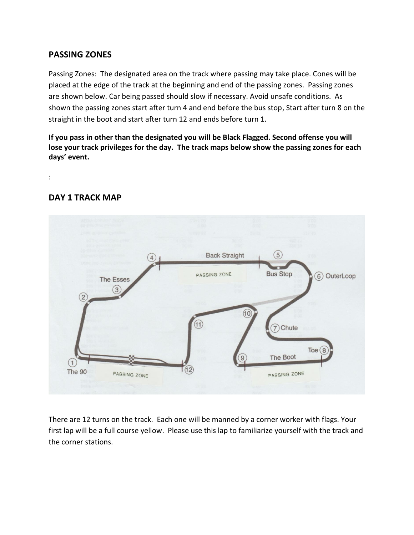## **PASSING ZONES**

Passing Zones: The designated area on the track where passing may take place. Cones will be placed at the edge of the track at the beginning and end of the passing zones. Passing zones are shown below. Car being passed should slow if necessary. Avoid unsafe conditions. As shown the passing zones start after turn 4 and end before the bus stop, Start after turn 8 on the straight in the boot and start after turn 12 and ends before turn 1.

**If you pass in other than the designated you will be Black Flagged. Second offense you will lose your track privileges for the day. The track maps below show the passing zones for each days' event.**

:

## **DAY 1 TRACK MAP**



There are 12 turns on the track. Each one will be manned by a corner worker with flags. Your first lap will be a full course yellow. Please use this lap to familiarize yourself with the track and the corner stations.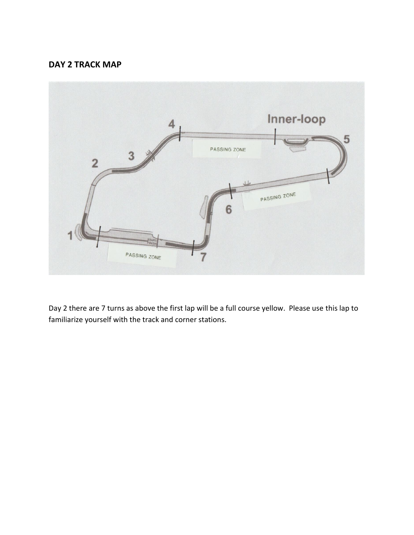## **DAY 2 TRACK MAP**



Day 2 there are 7 turns as above the first lap will be a full course yellow. Please use this lap to familiarize yourself with the track and corner stations.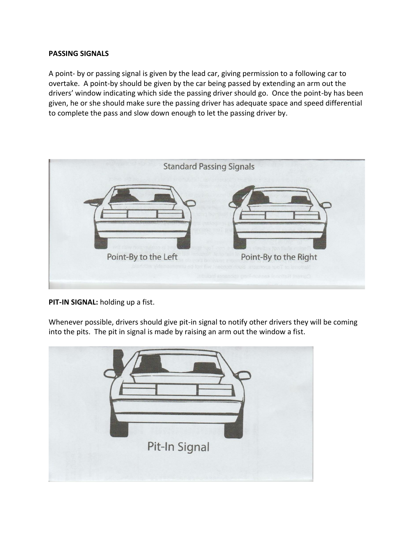#### **PASSING SIGNALS**

A point- by or passing signal is given by the lead car, giving permission to a following car to overtake. A point-by should be given by the car being passed by extending an arm out the drivers' window indicating which side the passing driver should go. Once the point-by has been given, he or she should make sure the passing driver has adequate space and speed differential to complete the pass and slow down enough to let the passing driver by.



**PIT-IN SIGNAL:** holding up a fist.

Whenever possible, drivers should give pit-in signal to notify other drivers they will be coming into the pits. The pit in signal is made by raising an arm out the window a fist.

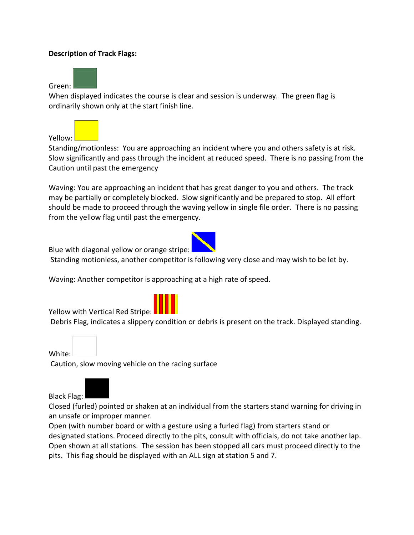### **Description of Track Flags:**

Green:

When displayed indicates the course is clear and session is underway. The green flag is ordinarily shown only at the start finish line.



Standing/motionless: You are approaching an incident where you and others safety is at risk. Slow significantly and pass through the incident at reduced speed. There is no passing from the Caution until past the emergency

Waving: You are approaching an incident that has great danger to you and others. The track may be partially or completely blocked. Slow significantly and be prepared to stop. All effort should be made to proceed through the waving yellow in single file order. There is no passing from the yellow flag until past the emergency.

Blue with diagonal yellow or orange stripe:



Standing motionless, another competitor is following very close and may wish to be let by.

Waving: Another competitor is approaching at a high rate of speed.

Yellow with Vertical Red Stripe:

Debris Flag, indicates a slippery condition or debris is present on the track. Displayed standing.

White:

Caution, slow moving vehicle on the racing surface



Black Flag:

Closed (furled) pointed or shaken at an individual from the starters stand warning for driving in an unsafe or improper manner.

Open (with number board or with a gesture using a furled flag) from starters stand or designated stations. Proceed directly to the pits, consult with officials, do not take another lap. Open shown at all stations. The session has been stopped all cars must proceed directly to the pits. This flag should be displayed with an ALL sign at station 5 and 7.